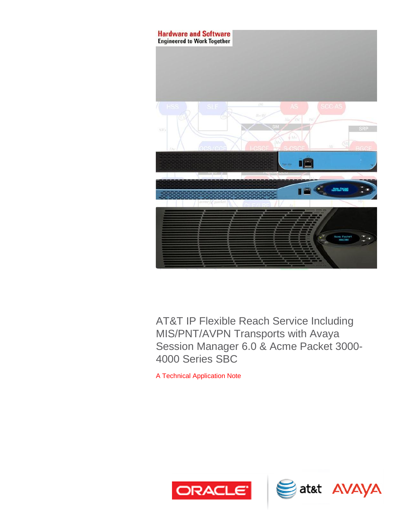

AT&T IP Flexible Reach Service Including MIS/PNT/AVPN Transports with Avaya Session Manager 6.0 & Acme Packet 3000- 4000 Series SBC

A Technical Application Note

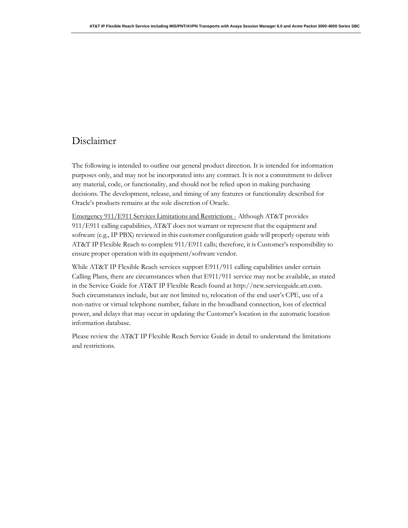# Disclaimer

The following is intended to outline our general product direction. It is intended for information purposes only, and may not be incorporated into any contract. It is not a commitment to deliver any material, code, or functionality, and should not be relied upon in making purchasing decisions. The development, release, and timing of any features or functionality described for Oracle's products remains at the sole discretion of Oracle.

Emergency 911/E911 Services Limitations and Restrictions - Although AT&T provides 911/E911 calling capabilities, AT&T does not warrant or represent that the equipment and software (e.g., IP PBX) reviewed in this customer configuration guide will properly operate with AT&T IP Flexible Reach to complete 911/E911 calls; therefore, it is Customer's responsibility to ensure proper operation with its equipment/software vendor.

While AT&T IP Flexible Reach services support E911/911 calling capabilities under certain Calling Plans, there are circumstances when that E911/911 service may not be available, as stated in the Service Guide for AT&T IP Flexible Reach found at [http://new.serviceguide.att.com.](http://new.serviceguide.att.com/)  Such circumstances include, but are not limited to, relocation of the end user's CPE, use of a non-native or virtual telephone number, failure in the broadband connection, loss of electrical power, and delays that may occur in updating the Customer's location in the automatic location information database.

Please review the AT&T IP Flexible Reach Service Guide in detail to understand the limitations and restrictions.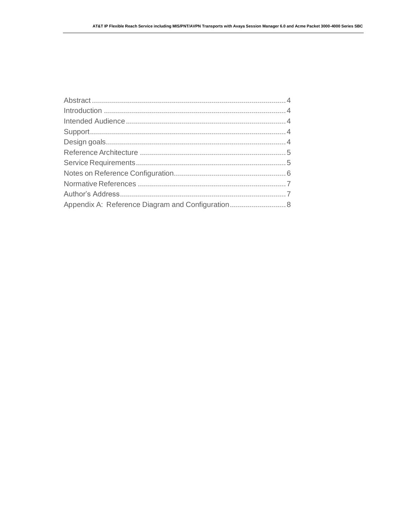<span id="page-2-0"></span>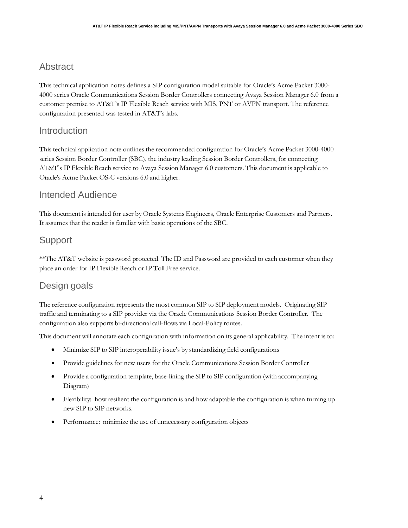## **Abstract**

This technical application notes defines a SIP configuration model suitable for Oracle's Acme Packet 3000- 4000 series Oracle Communications Session Border Controllers connecting Avaya Session Manager 6.0 from a customer premise to AT&T's IP Flexible Reach service with MIS, PNT or AVPN transport. The reference configuration presented was tested in AT&T's labs.

### <span id="page-3-0"></span>Introduction

This technical application note outlines the recommended configuration for Oracle's Acme Packet 3000-4000 series Session Border Controller (SBC), the industry leading Session Border Controllers, for connecting AT&T's IP Flexible Reach service to Avaya Session Manager 6.0 customers. This document is applicable to Oracle's Acme Packet OS-C versions 6.0 and higher.

### <span id="page-3-1"></span>Intended Audience

This document is intended for user by Oracle Systems Engineers, Oracle Enterprise Customers and Partners. It assumes that the reader is familiar with basic operations of the SBC.

### <span id="page-3-2"></span>**Support**

\*\*The AT&T website is password protected. The ID and Password are provided to each customer when they place an order for IP Flexible Reach or IP Toll Free service.

# <span id="page-3-3"></span>Design goals

The reference configuration represents the most common SIP to SIP deployment models. Originating SIP traffic and terminating to a SIP provider via the Oracle Communications Session Border Controller. The configuration also supports bi-directional call-flows via Local-Policy routes.

This document will annotate each configuration with information on its general applicability. The intent is to:

- Minimize SIP to SIP interoperability issue's by standardizing field configurations
- Provide guidelines for new users for the Oracle Communications Session Border Controller
- Provide a configuration template, base-lining the SIP to SIP configuration (with accompanying Diagram)
- Flexibility: how resilient the configuration is and how adaptable the configuration is when turning up new SIP to SIP networks.
- <span id="page-3-4"></span>Performance: minimize the use of unnecessary configuration objects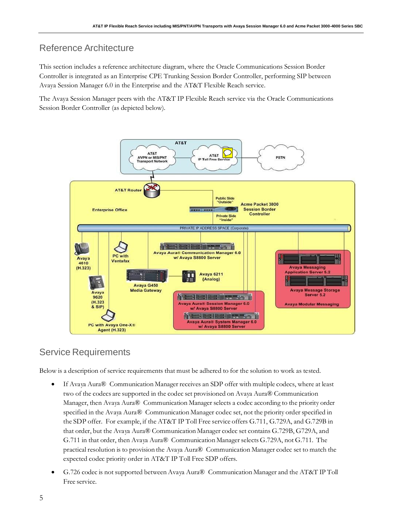# Reference Architecture

This section includes a reference architecture diagram, where the Oracle Communications Session Border Controller is integrated as an Enterprise CPE Trunking Session Border Controller, performing SIP between Avaya Session Manager 6.0 in the Enterprise and the AT&T Flexible Reach service.

The Avaya Session Manager peers with the AT&T IP Flexible Reach service via the Oracle Communications Session Border Controller (as depicted below).



# <span id="page-4-0"></span>Service Requirements

Below is a description of service requirements that must be adhered to for the solution to work as tested.

- If Avaya Aura® Communication Manager receives an SDP offer with multiple codecs, where at least two of the codecs are supported in the codec set provisioned on Avaya Aura® Communication Manager, then Avaya Aura® Communication Manager selects a codec according to the priority order specified in the Avaya Aura® Communication Manager codec set, not the priority order specified in the SDP offer. For example, if the AT&T IP Toll Free service offers G.711, G.729A, and G.729B in that order, but the Avaya Aura® Communication Manager codec set contains G.729B, G729A, and G.711 in that order, then Avaya Aura® Communication Managerselects G.729A, not G.711. The practical resolution is to provision the Avaya Aura® Communication Manager codec set to match the expected codec priority order in AT&T IP Toll Free SDP offers.
- G.726 codec is not supported between Avaya Aura® Communication Manager and the AT&T IP Toll Free service.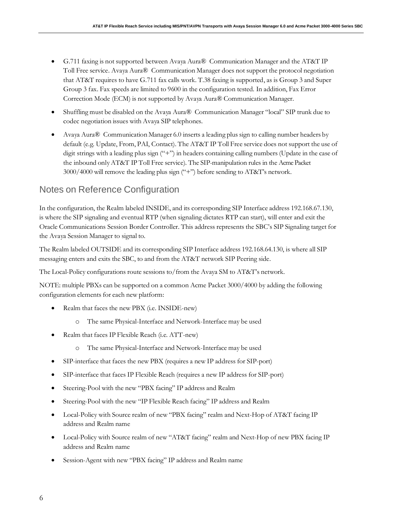- G.711 faxing is not supported between Avaya Aura<sup>®</sup> Communication Manager and the AT&T IP Toll Free service. Avaya Aura® Communication Manager does not support the protocol negotiation that AT&T requires to have G.711 fax calls work. T.38 faxing is supported, as is Group 3 and Super Group 3 fax. Fax speeds are limited to 9600 in the configuration tested. In addition, Fax Error Correction Mode (ECM) is not supported by Avaya Aura® Communication Manager.
- Shuffling must be disabled on the Avaya Aura® Communication Manager "local" SIP trunk due to codec negotiation issues with Avaya SIP telephones.
- Avaya Aura® Communication Manager 6.0 inserts a leading plus sign to calling number headers by default (e.g. Update, From, PAI, Contact). The AT&T IP Toll Free service does not support the use of digit strings with a leading plus sign ("+") in headers containing calling numbers (Update in the case of the inbound onlyAT&T IP Toll Free service). The SIP-manipulation rules in the Acme Packet 3000/4000 will remove the leading plus sign ("+") before sending to AT&T's network.

# <span id="page-5-0"></span>Notes on Reference Configuration

In the configuration, the Realm labeled INSIDE, and its corresponding SIP Interface address 192.168.67.130, is where the SIP signaling and eventual RTP (when signaling dictates RTP can start), will enter and exit the Oracle Communications Session Border Controller. This address represents the SBC's SIP Signaling target for the Avaya Session Manager to signal to.

The Realm labeled OUTSIDE and its corresponding SIP Interface address 192.168.64.130, is where all SIP messaging enters and exits the SBC, to and from the AT&T network SIP Peering side.

The Local-Policy configurations route sessions to/from the Avaya SM to AT&T's network.

NOTE: multiple PBXs can be supported on a common Acme Packet 3000/4000 by adding the following configuration elements for each new platform:

- Realm that faces the new PBX (i.e. INSIDE-new)
	- o The same Physical-Interface and Network-Interface may be used
- Realm that faces IP Flexible Reach (i.e. ATT-new)
	- The same Physical-Interface and Network-Interface may be used
- SIP-interface that faces the new PBX (requires a new IP address for SIP-port)
- SIP-interface that faces IP Flexible Reach (requires a new IP address for SIP-port)
- Steering-Pool with the new "PBX facing" IP address and Realm
- Steering-Pool with the new "IP Flexible Reach facing" IP address and Realm
- Local-Policy with Source realm of new "PBX facing" realm and Next-Hop of AT&T facing IP address and Realm name
- Local-Policy with Source realm of new "AT&T facing" realm and Next-Hop of new PBX facing IP address and Realm name
- Session-Agent with new "PBX facing" IP address and Realm name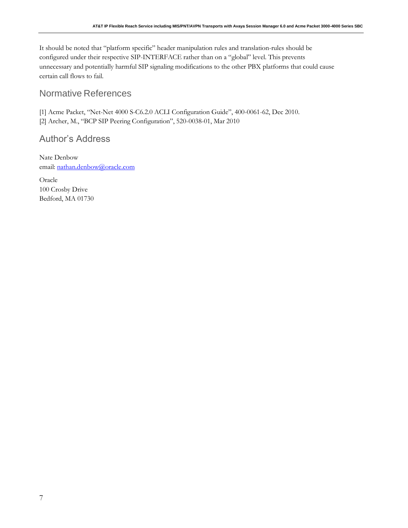It should be noted that "platform specific" header manipulation rules and translation-rules should be configured under their respective SIP-INTERFACE rather than on a "global" level. This prevents unnecessary and potentially harmful SIP signaling modifications to the other PBX platforms that could cause certain call flows to fail.

# <span id="page-6-0"></span>Normative References

[1] Acme Packet, "Net-Net 4000 S-C6.2.0 ACLI Configuration Guide", 400-0061-62, Dec 2010. [2] Archer, M., "BCP SIP Peering Configuration", 520-0038-01, Mar 2010

<span id="page-6-1"></span>Author's Address

Nate Denbow email: [nathan.denbow@oracle.com](mailto:nathan.denbow@oracle.com)

<span id="page-6-2"></span>Oracle 100 Crosby Drive Bedford, MA 01730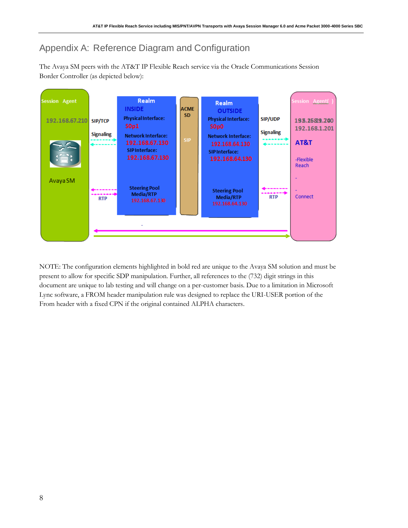# Appendix A: Reference Diagram and Configuration

The Avaya SM peers with the AT&T IP Flexible Reach service via the Oracle Communications Session Border Controller (as depicted below):



NOTE: The configuration elements highlighted in bold red are unique to the Avaya SM solution and must be present to allow for specific SDP manipulation. Further, all references to the (732) digit strings in this document are unique to lab testing and will change on a per-customer basis. Due to a limitation in Microsoft Lync software, a FROM header manipulation rule was designed to replace the URI-USER portion of the From header with a fixed CPN if the original contained ALPHA characters.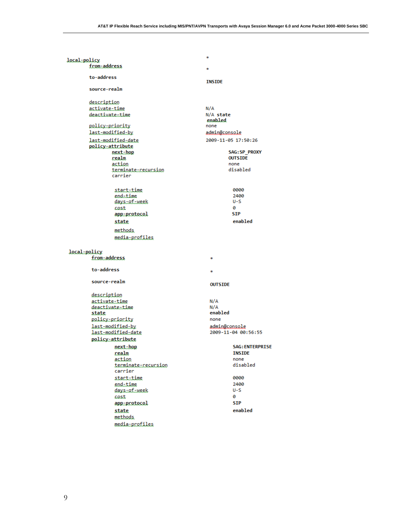| local-policy                           |                                | *              |                        |
|----------------------------------------|--------------------------------|----------------|------------------------|
| from-address                           |                                | sk.            |                        |
| to-address                             |                                | <b>INSIDE</b>  |                        |
| source-realm                           |                                |                |                        |
| description<br>activate_time           |                                | N/A            |                        |
| deactivate=time                        |                                | N/A state      |                        |
|                                        |                                | enabled        |                        |
| policy-priority                        |                                | none           |                        |
| last.modified.by                       |                                | admin@console  |                        |
| last-modified-date<br>policy-attribute |                                |                | 2009-11-05 17:50:26    |
|                                        | next-hop                       |                | <b>SAG:SP PROXY</b>    |
| realm                                  |                                |                | <b>OUTSIDE</b>         |
| action                                 |                                |                | none                   |
|                                        | terminate-recursion            |                | disabled               |
|                                        | carrier                        |                |                        |
|                                        |                                |                |                        |
|                                        | start-time<br>end-time         |                | 0000<br>2400           |
|                                        | days-of-week                   |                | $U-S$                  |
| cost                                   |                                |                | 0                      |
|                                        | app-protocol                   |                | <b>SIP</b>             |
|                                        | state.                         |                | enabled                |
|                                        | methods<br>media-profiles      |                |                        |
|                                        |                                |                |                        |
| local-policy<br>from-address           |                                | 宋              |                        |
|                                        |                                |                |                        |
| to-address                             |                                | *              |                        |
| source-realm                           |                                | <b>OUTSIDE</b> |                        |
|                                        |                                |                |                        |
| description                            |                                |                |                        |
| activate_time                          |                                | N/A            |                        |
| deactivatestime<br>state               |                                | N/A<br>enabled |                        |
| policy-priority                        |                                | none           |                        |
| last-modified-by                       |                                | admin@console  |                        |
| last-modified-date                     |                                |                | 2009-11-04 00:56:55    |
| policy-attribute                       |                                |                |                        |
|                                        | next-hop                       |                | <b>SAG: ENTERPRISE</b> |
|                                        | realm                          |                | <b>INSIDE</b>          |
|                                        | action                         |                | none                   |
|                                        | terminate-recursion<br>carrier |                | disabled               |
|                                        | <u>start-time</u>              |                | 0000                   |
|                                        | end-time                       |                | 2400                   |
|                                        | days.tof.tweek                 |                | $U-S$                  |
| cost                                   |                                |                | ø                      |
|                                        | app-protocol                   |                | <b>SIP</b>             |
|                                        | state                          |                | enabled                |
|                                        | methods                        |                |                        |
|                                        | media=profiles                 |                |                        |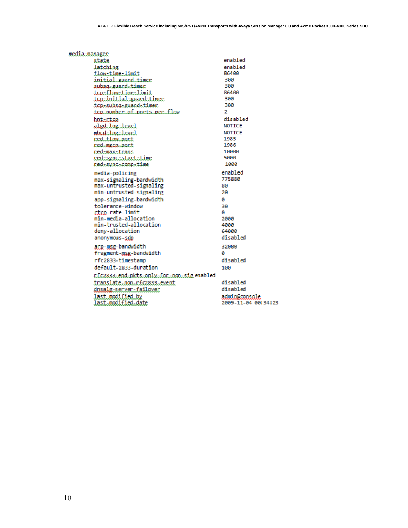| media-manager                            |                     |
|------------------------------------------|---------------------|
| state.                                   | enabled             |
| latching                                 | enabled             |
| flow-time-limit                          | 86400               |
| initial-guard-timer                      | 300                 |
| subsa-guard-timer                        | 300                 |
| tcn-flow-time-limit                      | 86400               |
| tcp-initial-guard-timer                  | 300                 |
| tcn-subsa-guard-timer                    | 300                 |
| tcp-number-of-ports-per-flow             | 2                   |
| bnt-rtcp                                 | disabled            |
| algd-log-level                           | <b>NOTTCE</b>       |
| mbcd-log-level                           | <b>NOTICE</b>       |
| red-flow-port                            | 1985                |
| red-mgcp-port                            | 1986                |
| red-max-trans                            | 10000               |
| red-sync-start-time                      | 5000                |
| red-sync-comp-time                       | 1000                |
| media-policing                           | enabled             |
| max-signaling-bandwidth                  | 775880              |
| max-untrusted-signaling                  | 80                  |
| min-untrusted-signaling                  | 20                  |
| app-signaling-bandwidth                  | ø                   |
| tolerance-window                         | 30                  |
| rtco-rate-limit                          | ø                   |
| min-media-allocation                     | 2000                |
| min-trusted-allocation                   | 4000                |
| deny-allocation                          | 64000               |
| anonymous-sdp                            | disabled            |
| arp-msg-bandwidth                        | 32000               |
| fragment-msg-bandwidth                   | ø                   |
| rfc2833-timestamp                        | disabled            |
| default-2833-duration                    | 100                 |
| nfc2833=end=pkts=only=fon=non=sigenabled |                     |
| <u>translate-non-rfc2833-event</u>       | disabled            |
| dnsalg-server-failover                   | disabled            |
| last-modified-by                         | admin@console       |
| last-modified-date                       | 2009-11-04 00:34:23 |
|                                          |                     |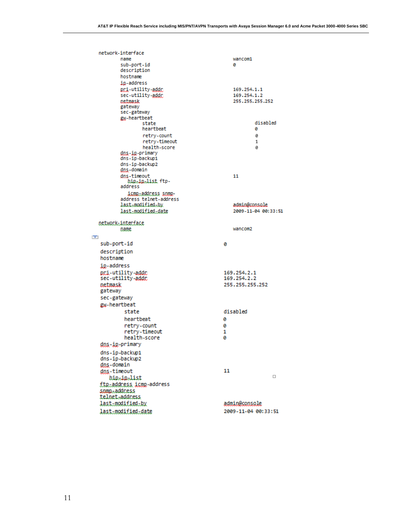| network-interface                          |                     |
|--------------------------------------------|---------------------|
| name                                       | wancom1             |
| sub-port-id                                | ø                   |
| description                                |                     |
| hostname                                   |                     |
| in-address                                 |                     |
| pri-utility-addr                           | 169, 254, 1, 1      |
| sec-utility-addr                           | 169.254.1.2         |
| netmask<br>gateway                         | 255.255.255.252     |
| sec-gateway                                |                     |
| gw-heartbeat                               |                     |
| state                                      | disabled            |
| heartbeat                                  | ø                   |
| retry-count                                | 0                   |
| retry-timeout                              | 1                   |
| health-score                               | ø                   |
| dos-ip-primary<br>dns-ip-backup1           |                     |
| dns-ip-backup2                             |                     |
| dns-domain                                 |                     |
| dns-timeout                                | 11                  |
| hip in list ftp-                           |                     |
| address                                    |                     |
| icmp-address somp-                         |                     |
| address telnet-address<br>last-modified-by | admin@console       |
| last-modified-date                         | 2009-11-04 00:33:51 |
|                                            |                     |
| network-interface                          |                     |
| name                                       | wancom <sub>2</sub> |
| $ \mathbf{F}  $                            |                     |
| sub-port-id                                | ø                   |
| description                                |                     |
| hostname                                   |                     |
|                                            |                     |
| ip-address                                 |                     |
| pri-utility-addr                           | 169, 254, 2, 1      |
| sec-utility-addc                           | 169.254.2.2         |
| netmask                                    | 255.255.255.252     |
| gateway                                    |                     |
| sec-gateway                                |                     |
| gw-heartbeat                               |                     |
| state                                      | disabled            |
| heartbeat                                  | ø                   |
| retry-count                                | ø                   |
| retry-timeout                              | 1                   |
| health-score                               | ø                   |
| <u>dns-ip-primary</u>                      |                     |
| dns-ip-backup1                             |                     |
| dns-ip-backup2                             |                     |
| dns-domain                                 |                     |
| dns-timeout                                | 11                  |
| hip-in-list                                | $\Box$              |
| ftp-address icmp-address                   |                     |
| snmp=address                               |                     |
| telnet-address                             |                     |
| last-modified-by                           | admin@console       |
| last-modified-date                         | 2009-11-04 00:33:51 |
|                                            |                     |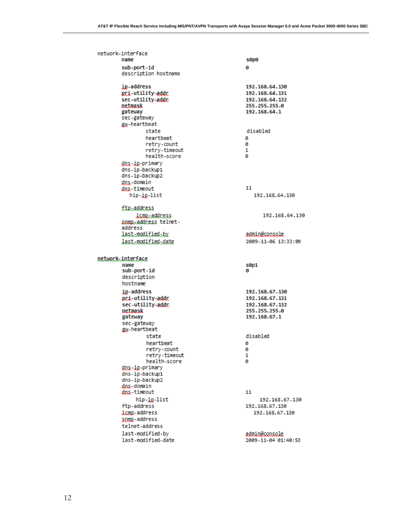| network-interface                                                                                        |                                                                                     |
|----------------------------------------------------------------------------------------------------------|-------------------------------------------------------------------------------------|
| name                                                                                                     | s0p0                                                                                |
| sub-port-id<br>description hostname                                                                      | ø                                                                                   |
| ip-address<br>pri-utility-addr<br>sec-utility-addr.<br>netmask<br>gateway<br>sec-gateway<br>gw-heartbeat | 192.168.64.130<br>192.168.64.131<br>192.168.64.132<br>255.255.255.0<br>192.168.64.1 |
| state                                                                                                    | disabled                                                                            |
| heartbeat<br>retry-count<br>retry-timeout<br>health-score                                                | ø<br>ø<br>1<br>ø                                                                    |
| dns-ip-primary<br>dns-ip-backup1<br>dns-ip-backup2<br>dns-domain                                         |                                                                                     |
| dns-timeout                                                                                              | 11                                                                                  |
| hip-ip-list                                                                                              | 192.168.64.130                                                                      |
| ftp=address                                                                                              |                                                                                     |
| icmp-address<br>snmn-address telnet-<br>address                                                          | 192.168.64.130                                                                      |
| last-modified-by                                                                                         | admin@console                                                                       |
| last-modified-date                                                                                       | 2009-11-06 13:33:09                                                                 |
| network-interface                                                                                        |                                                                                     |
| name<br>sub-port-id<br>description                                                                       | s0p1<br>ø                                                                           |
| hostname                                                                                                 |                                                                                     |
| ip-address<br>pri-utility-addr                                                                           | 192.168.67.130<br>192.168.67.131                                                    |
| sec-utility-addc<br>netmask<br>gateway                                                                   | 192.168.67.132<br>255.255.255.0<br>192.168.67.1                                     |
| sec-gateway                                                                                              |                                                                                     |
| gw-heartbeat<br>state<br>heartbeat<br>retry-count                                                        | disabled<br>0<br>0                                                                  |
| retry-timeout                                                                                            | 1                                                                                   |
| health-score<br>dns-ip-primary<br>dns-ip-backup1<br>dns-ip-backup2<br>dns-domain                         | ø                                                                                   |
| dns-timeout                                                                                              | 11                                                                                  |
| hip-ip-list<br>ftp-address<br>icmp-address<br>snmp-address                                               | 192.168.67.130<br>192.168.67.130<br>192.168.67.130                                  |
| telnet-address                                                                                           |                                                                                     |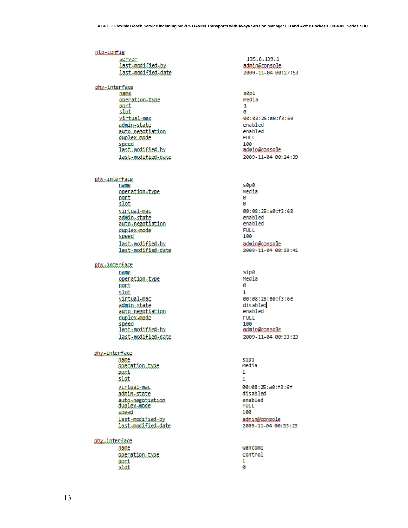| ntp-config                                       |                                                     |
|--------------------------------------------------|-----------------------------------------------------|
| server<br>last-modified-by<br>last-modified-date | 135.8.139.1<br>admin@console<br>2009-11-04 00:27:53 |
|                                                  |                                                     |
| <u>phy-interface</u>                             |                                                     |
| name<br>operation-type                           | s0p1<br>Media                                       |
| port                                             | 1                                                   |
| slot                                             | ø                                                   |
| <u>virtual-mac</u><br>admin_state                | 00:08:25:a0:f3:69<br>enabled                        |
| auto-negotiation                                 | enabled                                             |
| duplex-mode                                      | <b>FULL</b>                                         |
| speed<br>last-modified-by                        | 100<br>admin@console                                |
| last-modified-date                               | 2009-11-04 00:24:39                                 |
| phy-interface                                    |                                                     |
| name                                             | s0p0                                                |
| operation-type<br>port                           | Media<br>ø                                          |
| slot                                             | ø                                                   |
| virtual-mac                                      | 00:08:25:a0:f3:68                                   |
| admin-state                                      | enabled<br>enabled                                  |
| auto-negotiation<br>duplex-mode                  | <b>FULL</b>                                         |
| speed                                            | 100                                                 |
| last-modified-by                                 | admin@console                                       |
| last-modified-date                               | 2009-11-04 00:29:41                                 |
| <u>phy-interface</u>                             |                                                     |
| name                                             | s1p0<br>Media                                       |
| operation-type<br>port                           | ø                                                   |
| slot                                             | 1                                                   |
| virtual-mac                                      | 00:08:25:a0:f3:6e                                   |
| admin-state<br><u>auto-negotiation</u>           | disabled<br>enabled                                 |
| duplex-mode                                      | <b>FULL</b>                                         |
| speed                                            | 100<br>admin@console                                |
| last-modified-by<br>last-modified-date           | 2009-11-04 00:33:23                                 |
|                                                  |                                                     |
| <u>phy-interface</u><br>name                     | <b>S1p1</b>                                         |
| operation-type                                   | Media                                               |
| port<br>slot                                     | 1<br>1                                              |
|                                                  | 00:08:25:a0:f3:6f                                   |
| xintualmos<br><u>admin-state</u>                 | disabled                                            |
| auto-negotiation                                 | enabled                                             |
| <u>duplex-mode</u>                               | <b>FULL</b><br>100                                  |
| speed<br>last-modified-by                        | admin@console                                       |
| last-modified-date                               | 2009-11-04 00:33:23                                 |
| <u>phy-interface</u>                             |                                                     |
| name<br>operation-type                           | wancom1<br>Control                                  |
| port                                             | 1                                                   |
| slot                                             | ø                                                   |
|                                                  |                                                     |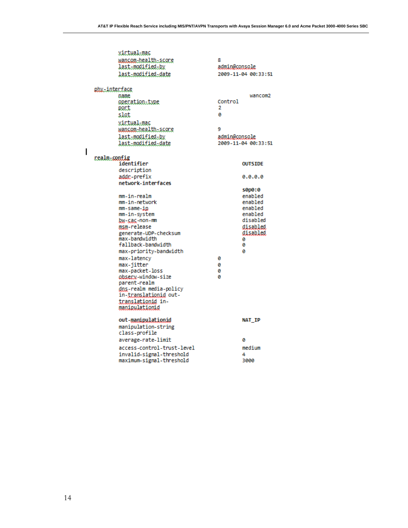|                      | <u>virtual-mac</u>                   |               |                     |
|----------------------|--------------------------------------|---------------|---------------------|
|                      | wancom-health-score                  | 8             |                     |
|                      | last-modified-by                     | admin@console |                     |
|                      | last-modified-date                   |               | 2009-11-04 00:33:51 |
|                      |                                      |               |                     |
| <u>phy-interface</u> |                                      |               |                     |
|                      | name                                 |               | wancom <sub>2</sub> |
|                      | operation-type                       | Control       |                     |
|                      | port                                 | 2             |                     |
|                      | slot                                 | ø             |                     |
|                      | <u>virtual-mac</u>                   |               |                     |
|                      | wancom-health-score                  | 9             |                     |
|                      | last-modified-by                     | admin@console |                     |
|                      | last-modified-date                   |               | 2009-11-04 00:33:51 |
|                      |                                      |               |                     |
| realm-config         |                                      |               |                     |
|                      | identifier                           |               | <b>OUTSIDE</b>      |
|                      | description                          |               |                     |
|                      | addr-prefix                          |               | 0.0.0.0             |
|                      | network-interfaces                   |               |                     |
|                      |                                      |               | s0p0:0              |
|                      | mm-in-realm                          |               | enabled             |
|                      | mm-in-network                        |               | enabled             |
|                      | mm-same-ip                           |               | enabled             |
|                      | mm-in-system                         |               | enabled<br>disabled |
|                      | bw-cac-non-mm                        |               | disabled            |
|                      | msm-release<br>generate-UDP-checksum |               | <u>disabled</u>     |
|                      | max-bandwidth                        |               | ø                   |
|                      | fallback-bandwidth                   |               | ø                   |
|                      | max-priority-bandwidth               |               | ø                   |
|                      | max-latency                          | ø             |                     |
|                      | max-jitter                           | 0             |                     |
|                      | max-packet-loss                      | ø             |                     |
|                      | obsery-window-size                   | ø             |                     |
|                      | parent-realm                         |               |                     |
|                      | dns-realm media-policy               |               |                     |
|                      | in-translationid out-                |               |                     |
|                      | translationid in-                    |               |                     |
|                      | manipulationid                       |               |                     |
|                      | out-manipulationid                   |               | <b>NAT IP</b>       |
|                      | manipulation-string                  |               |                     |
|                      | class-profile                        |               |                     |
|                      | average-rate-limit                   |               | ø                   |
|                      | access-control-trust-level           |               | medium              |
|                      | invalid-signal-threshold             |               | 4                   |
|                      | maximum-signal-threshold             |               | 3000                |

 $\overline{\phantom{a}}$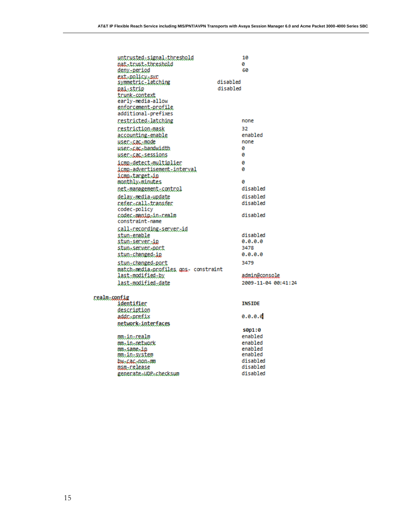|              | untrusted-signal-threshold           |          | 10                   |
|--------------|--------------------------------------|----------|----------------------|
|              | natatnustathneshold                  |          | ø                    |
|              | deny-period                          |          | 60                   |
|              | ext-policy-sur                       |          |                      |
|              | symmetric-latching                   | disabled |                      |
|              | <u>pai-strip</u>                     | disabled |                      |
|              | trunk-context<br>early-media-allow   |          |                      |
|              | enforcement-profile                  |          |                      |
|              | additional-prefixes                  |          |                      |
|              | restricted-latching                  |          | none                 |
|              | <u>restriction-mask</u>              |          | 32.                  |
|              | accounting-enable                    |          | enabled              |
|              | user-cac-mode                        |          | none                 |
|              | usec=cac=bandwidth                   |          | ø                    |
|              | user-cac-sessions                    |          | ø                    |
|              | icmp-detect-multiplier               |          | ø                    |
|              | <u>icmp-advertisement-interval</u>   |          | ø                    |
|              | icmn-target-in                       |          |                      |
|              | monthly-minutes                      |          | ø                    |
|              | net-management-control               |          | disabled             |
|              | delay-media-update                   |          | disabled             |
|              | refer=call=transfer                  |          | disabled             |
|              | codec-policy                         |          |                      |
|              | codec-manin-in-realm                 |          | disabled             |
|              | constraint-name                      |          |                      |
|              | call-recording-server-id             |          | disabled             |
|              | stun-enable<br><u>stun-server-ip</u> |          | 0.0.0.0              |
|              | stun=server=port                     |          | 3478                 |
|              | stun-changed-ip                      |          | 0.0.0.0              |
|              | stun-changed-port                    |          | 3479                 |
|              | match-media-profiles gos- constraint |          |                      |
|              | last-modified-by                     |          | <u>admin@console</u> |
|              | last-modified-date                   |          | 2009-11-04 00:41:24  |
|              |                                      |          |                      |
| realm-config |                                      |          |                      |
|              | identifier                           |          | <b>TNSTDE</b>        |
|              | description                          |          |                      |
|              | addc-prefix                          |          | <b>0.0.0.0</b>       |
|              | network-interfaces                   |          |                      |
|              |                                      |          | s0p1:0               |
|              | mm-in-realm                          |          | enabled              |
|              | mm-in-network                        |          | enabled              |
|              | mm-same-in                           |          | enabled<br>enabled   |
|              | mm-in-svstem<br>bw-cac-non-m         |          | disabled             |
|              | <u>msm-release</u>                   |          | disabled             |
|              | generate-UDP-checksum                |          | disabled             |
|              |                                      |          |                      |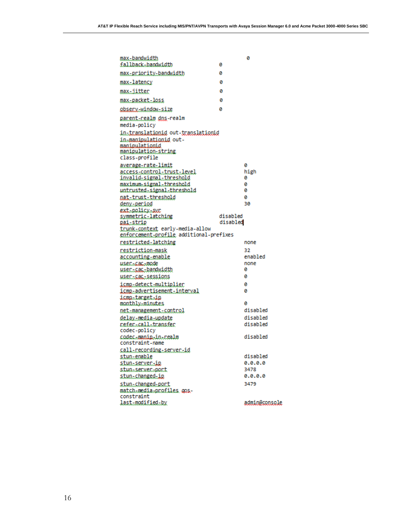| <u>max-bandwidth</u>                                                                                                          |          | Θ               |
|-------------------------------------------------------------------------------------------------------------------------------|----------|-----------------|
| fallback-bandwidth                                                                                                            | ø        |                 |
| max-priority-bandwidth                                                                                                        | ø        |                 |
| <u>max-latency</u>                                                                                                            | ø        |                 |
| <u>max-jitter</u>                                                                                                             | ø        |                 |
| <u> max-packet-loss</u>                                                                                                       | ø        |                 |
| <u>observ-window-size</u>                                                                                                     | ø        |                 |
| <u>parent-realm dns</u> -realm<br>media-policy                                                                                |          |                 |
| in-translationid out-translationid<br>in-manipulationid out-<br>manipulationid<br><u>manipulation-string</u><br>class-profile |          |                 |
| <u>average-rate-limit</u><br><u>access-control-trust-level</u>                                                                |          | ø<br>high       |
| invalid-signal-threshold                                                                                                      |          | ø               |
| maximum-signal-threshold                                                                                                      |          | 0               |
| untcusted=signal=thceshold                                                                                                    |          | 0               |
| nat-trust-threshold                                                                                                           |          | 0               |
| deny-period                                                                                                                   |          | 30              |
| ext-policy-sur                                                                                                                |          |                 |
| symmetric-latching                                                                                                            | disabled |                 |
| <u>pai-strip</u><br>trunk=context early-media-allow                                                                           | disabled |                 |
| enforcement-profile additional-prefixes                                                                                       |          |                 |
| restricted-latching                                                                                                           |          | none            |
| restriction-mask                                                                                                              |          | 32              |
| accounting-enable                                                                                                             |          | enabled         |
| user-cac-mode                                                                                                                 |          | none            |
| user-cac-bandwidth                                                                                                            |          | ø               |
| user-cac-sessions                                                                                                             |          | 0               |
| icmp-detect-multiplier                                                                                                        |          | ø               |
| icme.advertisement.interval                                                                                                   |          | ø               |
| icmn-target-in                                                                                                                |          |                 |
| monthly=minutes                                                                                                               |          | ø               |
| <u>net-management-control</u>                                                                                                 |          | disabled        |
| delay_media_update                                                                                                            |          | disabled        |
| refer-call-transfer                                                                                                           |          | disabled        |
| codec-policy                                                                                                                  |          | disabled        |
| codec…manip…in…realm<br>constraint-name                                                                                       |          |                 |
| call=recording=server=id                                                                                                      |          |                 |
| <u>stun-enable</u>                                                                                                            |          | disabled        |
| stun-server-ig                                                                                                                |          | 0.0.0.0<br>3478 |
| stun=server=port<br>stun-changed-ip                                                                                           |          | 0.0.0.0         |
|                                                                                                                               |          |                 |
| stun-changed-port                                                                                                             |          | 3479            |
| match-media-profiles gos-<br>constraint                                                                                       |          |                 |
| last-modified-by                                                                                                              |          | admin@console   |
|                                                                                                                               |          |                 |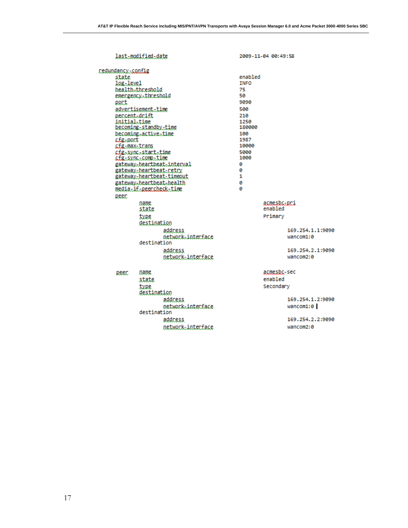|                                                        | last-modified-date                                                                                                                                                                                                                 | 2009-11-04 00:49:58                                                                                                     |                                     |
|--------------------------------------------------------|------------------------------------------------------------------------------------------------------------------------------------------------------------------------------------------------------------------------------------|-------------------------------------------------------------------------------------------------------------------------|-------------------------------------|
| redundancy-config                                      |                                                                                                                                                                                                                                    |                                                                                                                         |                                     |
| state<br>log-level<br>port<br>initial-time<br>cfg-port | health-threshold<br>emergency-threshold<br>advertisement-time<br>percent-drift<br>becoming.standby.time<br>becoming-active-time<br><u>cfg-max-trans</u><br>cfg-sync-start-time<br>sfg-sync-comp-time<br>gateway.heartbeat.interval | enabled<br><b>TNFO</b><br>75<br>50<br>9090<br>500<br>210<br>1250<br>180000<br>100<br>1987<br>10000<br>5000<br>1000<br>ø |                                     |
|                                                        | gateway-heartbeat-retry                                                                                                                                                                                                            | ø                                                                                                                       |                                     |
|                                                        | gateway-heartbeat-timeout                                                                                                                                                                                                          | 1                                                                                                                       |                                     |
|                                                        | gateway.beartbeat.health<br>media-if-peercheck-time                                                                                                                                                                                | ø<br>ø                                                                                                                  |                                     |
| peer                                                   |                                                                                                                                                                                                                                    |                                                                                                                         |                                     |
|                                                        | name                                                                                                                                                                                                                               |                                                                                                                         | acmesbc-pri                         |
|                                                        | state                                                                                                                                                                                                                              |                                                                                                                         | enabled                             |
|                                                        | type<br>destination                                                                                                                                                                                                                |                                                                                                                         | Primary                             |
|                                                        | address<br>network-interface<br>destination                                                                                                                                                                                        |                                                                                                                         | 169.254.1.1:9090<br>wancom1:0       |
|                                                        | address<br>network-interface                                                                                                                                                                                                       |                                                                                                                         | 169.254.2.1:9090<br>wancom2:0       |
| peer                                                   | name<br>state<br>type                                                                                                                                                                                                              |                                                                                                                         | acmesbc-sec<br>enabled<br>Secondary |
|                                                        | destination<br>address<br>network-interface<br>destination                                                                                                                                                                         |                                                                                                                         | 169.254.1.2:9090<br>wancom1:0 I     |
|                                                        | address<br>network-interface                                                                                                                                                                                                       |                                                                                                                         | 169.254.2.2:9090<br>wancom2:0       |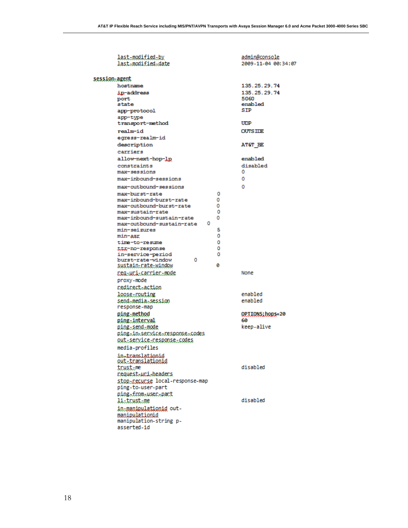|               | last-modified-by<br>last-modified-date    |   | admin@console<br>2009-11-04 00:34:07 |
|---------------|-------------------------------------------|---|--------------------------------------|
| session-agent |                                           |   |                                      |
|               | hostname                                  |   | 135.25.29.74                         |
|               | ip-address                                |   | 135.25.29.74                         |
|               | port                                      |   | 5060                                 |
|               | state                                     |   | enabled                              |
|               | app-protocol                              |   | SIP                                  |
|               | app-type                                  |   |                                      |
|               | transport-method                          |   | UDP                                  |
|               | realm-id                                  |   | <b>OUTSIDE</b>                       |
|               | egress-realm-id                           |   |                                      |
|               | description                               |   | AT&T BE                              |
|               |                                           |   |                                      |
|               | carriers                                  |   |                                      |
|               | allow-next-hop-lp                         |   | enabled                              |
|               | constraints                               |   | disabled                             |
|               | max-sessions                              |   | ٥                                    |
|               | max-inbound-sessions                      |   | ٥                                    |
|               | max-outbound-sessions                     |   | ٥                                    |
|               | max-burst-rate                            | ٥ |                                      |
|               | max-inbound-burst-rate                    | ٥ |                                      |
|               | max-outbound-burst-rate                   | ٥ |                                      |
|               | max-sustain-rate                          | ٥ |                                      |
|               | max-inbound-sustain-rate<br>٥             | ٥ |                                      |
|               | max-outbound-sustain-rate<br>min-seizures | 5 |                                      |
|               | min-asr                                   | ٥ |                                      |
|               | time-to-resume                            | ٥ |                                      |
|               | ttr-no-response                           | ٥ |                                      |
|               | in-service-period                         | ٥ |                                      |
|               | burst-rate-window<br>٥                    |   |                                      |
|               | sustain-rate-window                       | ø |                                      |
|               | neg-uni-cannien-mode                      |   | None                                 |
|               | proxy-mode                                |   |                                      |
|               | nedinect=action                           |   |                                      |
|               | loose-routing                             |   | enabled                              |
|               | send-media-session                        |   | enabled                              |
|               | response-map                              |   |                                      |
|               | ping-method                               |   | <b>QPTIONS; hops=20</b>              |
|               | ping-interval                             |   | 60                                   |
|               | ping-send-mode                            |   | keep-alive                           |
|               | ping.in.service.response.codes            |   |                                      |
|               | <u>out-service-response-codes</u>         |   |                                      |
|               | media-profiles                            |   |                                      |
|               | in-translationid                          |   |                                      |
|               | <u>out-translationid</u>                  |   |                                      |
|               | trust-me                                  |   | disabled                             |
|               | nequest-uni-headers                       |   |                                      |
|               | stop-recurse local-response-map           |   |                                      |
|               | ping-to-user-part                         |   |                                      |
|               | ping.from.user.part                       |   |                                      |
|               | 1i-trust-me                               |   | disabled                             |
|               | in-manipulationid out-                    |   |                                      |
|               | manipulationid                            |   |                                      |
|               | manipulation-string p-                    |   |                                      |
|               | asserted-id                               |   |                                      |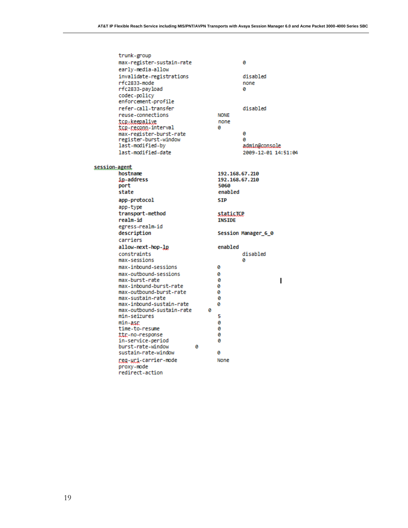|               | trunk-group               |   |   |                |                     |
|---------------|---------------------------|---|---|----------------|---------------------|
|               | max-register-sustain-rate |   |   |                | ø                   |
|               | early-media-allow         |   |   |                |                     |
|               | invalidate-registrations  |   |   |                | disabled            |
|               | rfc2833-mode              |   |   |                | none                |
|               | rfc2833-payload           |   |   |                | a                   |
|               | codec-policy              |   |   |                |                     |
|               | enforcement-profile       |   |   |                |                     |
|               |                           |   |   |                |                     |
|               | refer-call-transfer       |   |   |                | disabled            |
|               | reuse-connections         |   |   | <b>NONE</b>    |                     |
|               | tcp-keepalive             |   |   | none           |                     |
|               | tcp-reconn-interval       |   |   | a              |                     |
|               | max-register-burst-rate   |   |   |                | ø                   |
|               | register-burst-window     |   |   |                | ø                   |
|               | last-modified-by          |   |   |                | admin@console       |
|               | last-modified-date        |   |   |                | 2009-12-01 14:51:04 |
|               |                           |   |   |                |                     |
| session-agent |                           |   |   |                |                     |
|               | hostname                  |   |   | 192.168.67.210 |                     |
|               | ip-address                |   |   | 192.168.67.210 |                     |
|               | port                      |   |   | 5060           |                     |
|               | state                     |   |   | enabled        |                     |
|               | app-protocol              |   |   | <b>SIP</b>     |                     |
|               | app-type                  |   |   |                |                     |
|               | transport-method          |   |   | staticTCP      |                     |
|               | realm-id                  |   |   | <b>TNSTDE</b>  |                     |
|               | egress-realm-id           |   |   |                |                     |
|               | description               |   |   |                | Session Manager 6 0 |
|               | carriers                  |   |   |                |                     |
|               | allow-next-hop-lp         |   |   | enabled        |                     |
|               | constraints               |   |   |                | disabled            |
|               | max-sessions              |   |   |                | ø                   |
|               | max-inbound-sessions      |   |   |                |                     |
|               |                           |   |   | ø              |                     |
|               | max-outbound-sessions     |   |   | 0              |                     |
|               | max-burst-rate            |   |   | ø              | ı                   |
|               | max-inbound-burst-rate    |   |   | ø              |                     |
|               | max-outbound-burst-rate   |   |   | ø              |                     |
|               | max-sustain-rate          |   |   | 0              |                     |
|               | max-inbound-sustain-rate  |   |   | ø              |                     |
|               | max-outbound-sustain-rate |   | ø |                |                     |
|               | min-seizures              |   |   | 5              |                     |
|               | min-asr                   |   |   | ø              |                     |
|               | time-to-resume            |   |   | ø              |                     |
|               | ttr-no-response           |   |   | ø              |                     |
|               | in-service-period         |   |   | ø              |                     |
|               | burst-rate-window         | ø |   |                |                     |
|               | sustain-rate-window       |   |   | ø              |                     |
|               | reg-uri-carrier-mode      |   |   | None           |                     |
|               | proxy-mode                |   |   |                |                     |
|               | redirect-action           |   |   |                |                     |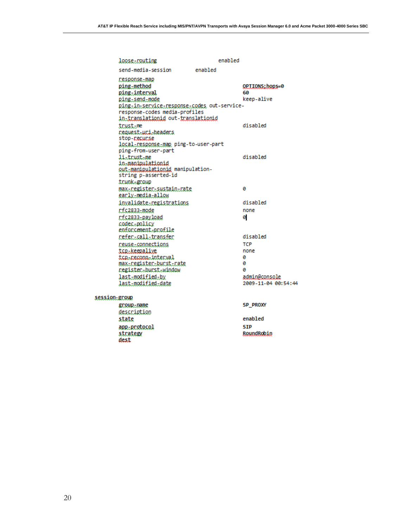|               | loose-routing                                                                                                                                                  | enabled |                                     |
|---------------|----------------------------------------------------------------------------------------------------------------------------------------------------------------|---------|-------------------------------------|
|               | send-media-session                                                                                                                                             | enabled |                                     |
|               | response-map<br>ping-method<br>ping-interval<br>ping-send-mode<br>ping-in-service-response-codes out-service-                                                  |         | OPTIONS; hops=0<br>ĥЙ<br>keep-alive |
|               | response-codes media-profiles<br>in-translationid out-translationid<br>trust-me<br>request-uri-headers<br>stop-necunse<br>local-response-map ping-to-user-part |         | disabled                            |
|               | ping-from-user-part<br>listrustsme<br>in-manipulationid<br>out-manipulationid manipulation-<br>string p-asserted-id                                            |         | disabled                            |
|               | trunk-group<br>max-register-sustain-rate<br>early_media_allow                                                                                                  |         | ø                                   |
|               | invalidate-registrations<br>rfc2833-mode<br>rfc2833-payload<br>codec-policy                                                                                    |         | disabled<br>none<br>Θ               |
|               | enforcement-profile<br>refer-call-transfer<br>reuse-connections<br>tcp-keepalive                                                                               |         | disabled<br>TCP<br>none             |
|               | tcp-reconn-interval<br><u> max-register-burst-rate</u><br>register-burst-window<br>last-modified-by                                                            |         | ø<br>ø<br>a<br>admin@console        |
| session-group | last-modified-date                                                                                                                                             |         | 2009-11-04 00:54:44                 |
|               | group-name<br>description<br>state                                                                                                                             |         | <b>SP PROXY</b><br>enabled          |
|               | app-protocol<br>strategy<br>dest                                                                                                                               |         | <b>STP</b><br>RoundRobin            |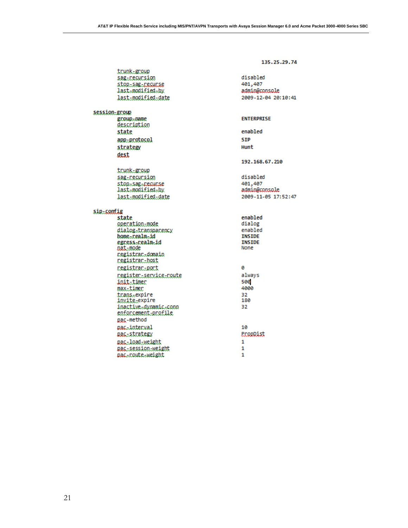|                                        | 135.25.29.74          |
|----------------------------------------|-----------------------|
| <u>trunk-group</u>                     |                       |
| sag-recursion                          | disabled              |
| stop-sag-recurse                       | 401,407               |
| last-modified-by                       | admin@console         |
| last-modified-date                     | 2009-12-04 20:10:41   |
| session-group                          |                       |
| group-name                             | <b>ENTERPRISE</b>     |
| description                            |                       |
| state                                  | enabled               |
| app-protocol                           | <b>STP</b>            |
| strategy                               | Hunt                  |
| dest                                   |                       |
|                                        | 192.168.67.210        |
| trunk-group                            |                       |
| sag-recursion                          | disabled              |
| stop-sag-recurse                       | 401,407               |
| last-modified-by                       | admin@console         |
| last-modified-date                     | 2009-11-05 17:52:47   |
| sip-config                             |                       |
| state                                  | enabled               |
| operation-mode                         | dialog                |
| dialog-transparency                    | enabled               |
| home-realm-id                          | <b>INSIDE</b>         |
| egress-realm-id<br>nat-mode            | <b>TNSTDE</b><br>None |
| negistran-domain                       |                       |
| registran-host                         |                       |
| registrar-port                         | ø                     |
| negisten-service-noute                 | always                |
| init-timer                             | 500                   |
| max-timer                              | 4000                  |
| trans.expire                           | 32                    |
| invite-expire<br>inactive-dynamic-conn | 180<br>32             |
| enforcement-profile                    |                       |
| pac-method                             |                       |
| pac-interval                           | 10                    |
| pac-strategy                           | PropDist              |
| pac-load-weight                        | 1                     |
| <u>pac-session-weight</u>              | 1                     |
| nac-route-weight                       | 1                     |
|                                        |                       |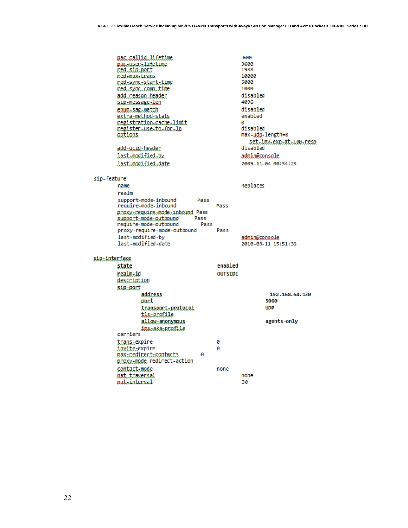|               | pac-callid-lifetime                                                               |              |                | 600           |                                |
|---------------|-----------------------------------------------------------------------------------|--------------|----------------|---------------|--------------------------------|
|               | <u>pac-user-lifetime</u>                                                          |              |                | 3600          |                                |
|               | red-sip-port                                                                      |              |                | 1988<br>10000 |                                |
|               | red-max-trans<br>ned=sync=stant=time                                              |              |                | 5000          |                                |
|               | red=sync=comp=time                                                                |              |                | 1000          |                                |
|               | add-neason-beaden                                                                 |              |                | disabled      |                                |
|               | sip-message-len                                                                   |              |                | 4096          |                                |
|               |                                                                                   |              |                | disabled      |                                |
|               | enum-sag-match<br>extra-method-stats                                              |              |                | enabled       |                                |
|               | registration=cache=limit                                                          |              |                | a             |                                |
|               | negistensusestosfonslo                                                            |              |                | disabled      |                                |
|               | options                                                                           |              |                |               | max-udp-length=0               |
|               |                                                                                   |              |                |               | <u>set-inv-exp-at-100-resp</u> |
|               | add-ucid-header                                                                   |              |                | disabled      |                                |
|               | last-modified-by                                                                  |              |                | admin@console |                                |
|               | last-modified-date                                                                |              |                |               | 2009-11-04 00:34:23            |
| sip-feature   |                                                                                   |              |                |               |                                |
|               | name                                                                              |              |                | Replaces      |                                |
|               | realm                                                                             |              |                |               |                                |
|               | support-mode-inbound<br>require-mode-inbound                                      | Pass         | Pass           |               |                                |
|               | proxy=require=mode=inbound Pass<br>support-mode-outbound<br>require-mode-outbound | Pass<br>Pass |                |               |                                |
|               | proxy-require-mode-outbound                                                       |              | Pass           |               |                                |
|               | last-modified-bv                                                                  |              |                | admin@console |                                |
|               | last-modified-date                                                                |              |                |               | 2010-03-11 15:51:36            |
| sip-interface |                                                                                   |              |                |               |                                |
|               | state                                                                             |              | enabled        |               |                                |
|               | realm-id                                                                          |              | <b>OUTSTDE</b> |               |                                |
|               | description                                                                       |              |                |               |                                |
|               | sip-port                                                                          |              |                |               |                                |
|               | address                                                                           |              |                |               | 192.168.64.130                 |
|               | port                                                                              |              |                |               | 5060                           |
|               | transport-protocol                                                                |              |                |               | <b>UDP</b>                     |
|               | tls-profile                                                                       |              |                |               |                                |
|               | allow-anonymous                                                                   |              |                |               | agents-only                    |
|               | ims.aka.profile                                                                   |              |                |               |                                |
|               | carriers                                                                          |              |                |               |                                |
|               | <u>trans-expire</u>                                                               |              | ø              |               |                                |
|               | invite-expire                                                                     |              | ø              |               |                                |
|               | <u> max-redirect-contacts</u>                                                     | ø            |                |               |                                |
|               | proxy-mode redirect-action                                                        |              |                |               |                                |
|               | contact-mode                                                                      |              | none           |               |                                |
|               | <u>nat-traversal</u>                                                              |              |                | none          |                                |
|               | nat-interval                                                                      |              |                | 30            |                                |
|               |                                                                                   |              |                |               |                                |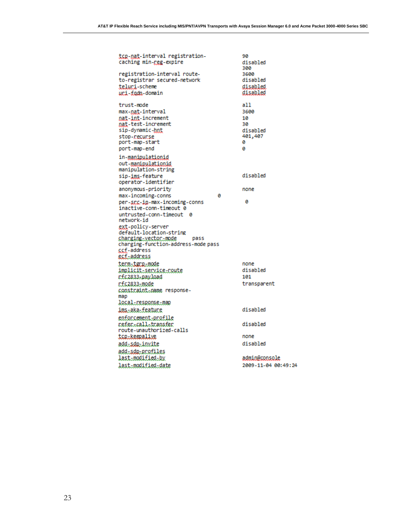| tcg-nat-interval registration-<br>caching min-reg-expire                                                                                          |   | 90<br>disabled<br>300                             |
|---------------------------------------------------------------------------------------------------------------------------------------------------|---|---------------------------------------------------|
| registration-interval route-<br>to-registrar secured-network<br>teluri-scheme<br>uri-fadn-domain                                                  |   | 3600<br>disabled<br>disabled<br>disabled          |
| trust-mode                                                                                                                                        |   | a11                                               |
| max-nat-interval<br><u>nat-int-increment</u><br>nat-test-increment<br>sip-dynamic-hnt<br>stop-necunse<br>port-map-start<br>port-map-end           |   | 3600<br>10<br>30<br>disabled<br>401,407<br>ø<br>ø |
| in-manipulationid<br>out-manipulationid<br>manipulation-string<br>sip-ims-feature                                                                 |   | disabled                                          |
| operator-identifier                                                                                                                               |   |                                                   |
| anonymous-priority<br>max-incoming-conns                                                                                                          | 0 | none                                              |
| per-scc-ip-max-incoming-conns<br>inactive-conn-timeout 0<br>untrusted-conn-timeout 0<br>network-id                                                |   | ø                                                 |
| ext-policy-server<br>default-location-string<br>sharging-vector-mode<br>pass<br>charging-function-address-mode pass<br>ccf-address<br>ecf-address |   |                                                   |
| <u>term-terp-mode</u>                                                                                                                             |   | none                                              |
| implicit_service_route<br>r.f.c.2833-payload                                                                                                      |   | disabled<br>101                                   |
| rfc2833-mode<br>constraint-name response-<br>map                                                                                                  |   | transparent                                       |
| local-response-map                                                                                                                                |   |                                                   |
| ims-aka-feature                                                                                                                                   |   | disabled                                          |
| enforcement-profile<br>refer-call-transfer<br>route-unauthorized-calls                                                                            |   | disabled                                          |
| tcp-keepalive                                                                                                                                     |   | none                                              |
| add-sdp-invite                                                                                                                                    |   | disabled                                          |
| add-sdp-profiles<br>last-modified-by<br>last.modified.date                                                                                        |   | admin@console<br>2009-11-04 00:49:24              |
|                                                                                                                                                   |   |                                                   |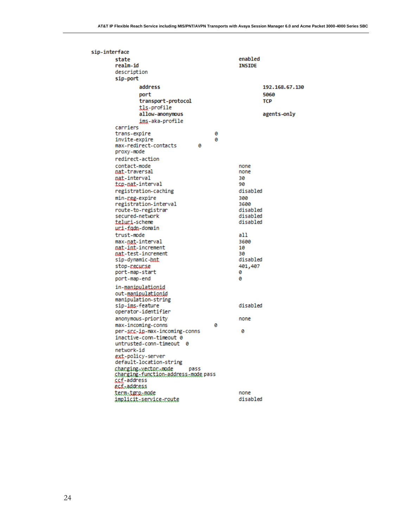| sip-interface                                                                                                                                                              |      |        |                                                             |                                      |
|----------------------------------------------------------------------------------------------------------------------------------------------------------------------------|------|--------|-------------------------------------------------------------|--------------------------------------|
| state<br>realm-id<br>description<br>sip-port                                                                                                                               |      |        | enabled<br><b>INSIDE</b>                                    |                                      |
| address<br>port<br>transport-protocol                                                                                                                                      |      |        |                                                             | 192.168.67.130<br>5060<br><b>TCP</b> |
| tls-profile<br>allow-anonymous<br>ims-aka-profile<br>carriers                                                                                                              |      |        |                                                             | agents-only                          |
| trans-expire<br>invite-expire<br>max-redirect-contacts                                                                                                                     | ø    | ø<br>ø |                                                             |                                      |
| proxy-mode<br>redirect-action<br>contact-mode                                                                                                                              |      |        | none                                                        |                                      |
| nat-traversal<br>nat-interval<br>tcp-nat-interval                                                                                                                          |      |        | none<br>30<br>90                                            |                                      |
| registration-caching<br>min-neg-expire<br>registration-interval<br>route-to-registrar<br>secured-network<br>teluri-scheme<br>uci-fada-domain                               |      |        | disabled<br>300<br>3600<br>disabled<br>disabled<br>disabled |                                      |
| trust-mode<br>max-nat-interval<br>nat-int-increment<br>nat-test-increment<br>sip-dynamic-bot                                                                               |      |        | all<br>3600<br>10<br>30<br>disabled                         |                                      |
| stop-recurse<br>port-map-start<br>port-map-end                                                                                                                             |      |        | 401,407<br>ø<br>ø                                           |                                      |
| in-manipulationid<br>out-manipulationid<br>manipulation-string<br>sip-ims-feature<br>operator-identifier                                                                   |      |        | disabled                                                    |                                      |
| anonymous-priority<br>max-incoming-conns                                                                                                                                   |      | Θ      | none                                                        |                                      |
| per-scc-ip-max-incoming-conns<br>inactive-conn-timeout 0<br>untrusted-conn-timeout 0<br>network-id<br>ext-policy-server<br>default-location-string<br>charging-vector-mode |      |        | 0                                                           |                                      |
| charging-function-address-mode pass<br>ccf-address<br>ecf-address                                                                                                          | pass |        |                                                             |                                      |
| term-terp-mode<br>implicit_service_route                                                                                                                                   |      |        | none<br>disabled                                            |                                      |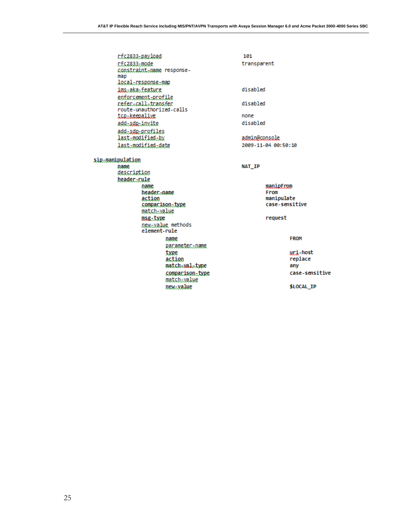rfc2833-payload rf.c2833.mode constraint-name response $map$ local\_response\_map ims.aka.feature enforcement-profile nefenacallatransfer route-unauthorized-calls tcg\_keepalive add.sdg.invite add.sdg.profiles last-modified-by last-modified-date sip-manipulation name description header-rule **Dame** header.-name action comparison-type match-value msg-type new-value methods element-rule name pacameter..name type action match-wal-type comparison-type match-value new-value

transparent

101

disabled

disabled

none disabled

admin@console 2009-11-04 00:50:10

#### NAT\_IP

#### manipErom From manipulate case-sensitive

request

FROM

uri-host replace any case-sensitive

\$LOCAL\_IP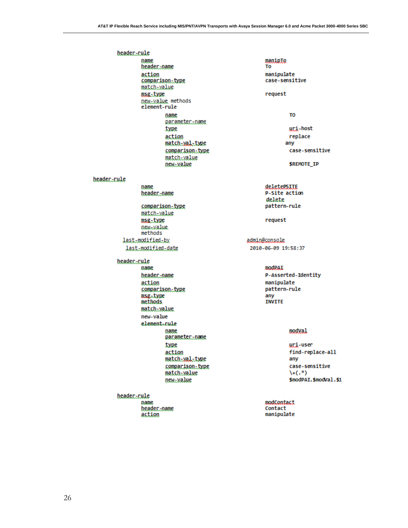beader...rule manipIo name header-name To action manipulate comparison-type match-value request msg-type Dewixalue methods element-rule T<sub>0</sub> name parameter-name type action match-xal-type any comparison-type match-value new-value header-rule name deletePSITE header-name delete comparison-type pattern-rule match-value msg-type request new-value. methods last-modified-by admin@console last-modified-date header-rule name modPAI beader...pane action manipulate comparison-type msg-type any **INVITE** methods match-value new-value element-rule name parameter-name type action match-xal-type comparison-type match-value new-value header-rule

name header-name action

case-sensitive

uri-host replace case-sensitive

**SREMOTE IP** 

# P-Site action

2010-06-09 19:58:37

P-Asserted-Identity pattern-rule

#### modVal

uri-user find-replace-all any case-sensitive  $(+(.*)$ \$modPAI.\$modVal.\$1

modContact Contact manipulate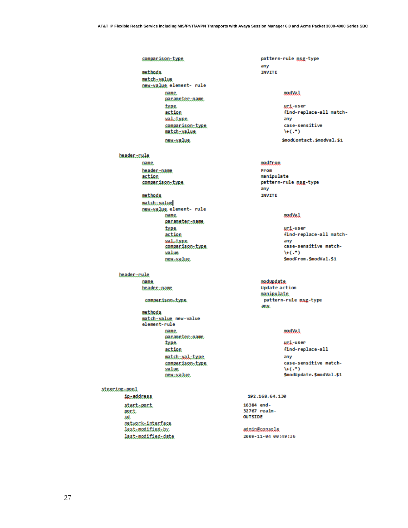comparison-type

methods. match-value newtvalue element- rule name. parameter-name. type. action valetype comparison-type match-value new.walue.

header-rule

name. beader...name action comparison-type

methods

match-value DRW.Walue element- rule name. panameten-name type. action valstype comparison-type value new.walue.

#### beader...cule

name. beader...name

#### comparison-type

methods match-value new-value element-rule name. pacameter.co.ame. type. action match-xal-type comparison-type value new-value

#### steering.pool

*in-address* start-part port id. oetwerk-interface last.modified.bx last\_modified\_date pattern-rule msg-type  $any$ **INVITE** 

#### modVal

uri-user find-replace-all matchany case-sensitive  $\setminus$ + $(.*)$ \$modContact.\$modVal.\$1

#### modEr.com

From manipulate pattern-rule msg-type any **INVITE** 

#### modVal

uri-user find-replace-all matchany case-sensitive match- $\setminus$ \$modFrom.\$modVal.\$1

#### modupdate

**Update action** manipulate pattern-rule msg-type any.

#### modval

uri-user find-replace-all any case-sensitive match- $\setminus$ \$modUpdate.\$modVal.\$1

192.168.64.130

16384 end-32767 realm-OUTSIDE

admin@console 2009-11-04 00:49:36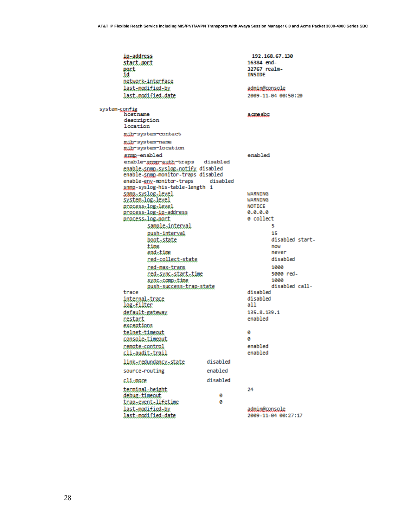| ip-address<br>start-port<br>port<br>id<br><u>network-interface</u><br>last-modified-by<br>last-modified-date                                            |                                                       | 192.168.67.130<br>16384 end-<br>32767 realm-<br><b>TNSTDE</b><br>admin@console<br>2009-11-04 00:50:20 |
|---------------------------------------------------------------------------------------------------------------------------------------------------------|-------------------------------------------------------|-------------------------------------------------------------------------------------------------------|
| system-config<br>hostname<br>description<br>location                                                                                                    |                                                       | acmesbo                                                                                               |
| mib-system-contact<br>mib-system-name<br>mib-system-location                                                                                            |                                                       |                                                                                                       |
| snmp-enabled<br>enable-gnmp-auth-traps disabled<br>enable-snmp-syslog-notify disabled<br>enable-snmp-monitor-traps disabled<br>enable-env-monitor-traps | disabled                                              | enabled                                                                                               |
| snmp-syslog-his-table-length 1<br>snmp-syslog-level<br>system-log-level<br>process=log=level<br>process-log-ip-address<br>process-log-port              |                                                       | WARNING<br>WARNING<br><b>NOTICE</b><br>0.0.0.0<br>0 collect                                           |
| sample-interval<br>push-interval<br>boot-state<br>time<br>end-time<br>red-collect-state<br>red-max-trans                                                |                                                       | 5<br>15<br>disabled start-<br>now<br>never<br>disabled<br>1000<br>5000 red-                           |
| sync-comp-time<br>trace<br>internal-trace<br>log-filter<br>default-gateway<br>restart                                                                   | <u>red-sync-start-time</u><br>push-success-trap-state |                                                                                                       |
| exceptions<br>telnet-timeout<br>console-timeout<br>remote-control<br><u>CII-QUOIT-INQIL</u>                                                             |                                                       | enabled<br>ø<br>ø<br>enabled<br>enabled                                                               |
| link-redundancy-state                                                                                                                                   | disabled                                              |                                                                                                       |
| source-routing                                                                                                                                          | enabled                                               |                                                                                                       |
| climore                                                                                                                                                 | disabled                                              |                                                                                                       |
| terminal-height<br>debug-timeout<br>trap_event_lifetime<br>last-modified-by<br>last-modified-date                                                       | ø<br>ø                                                | 24<br>admin@console<br>2009-11-04 00:27:17                                                            |